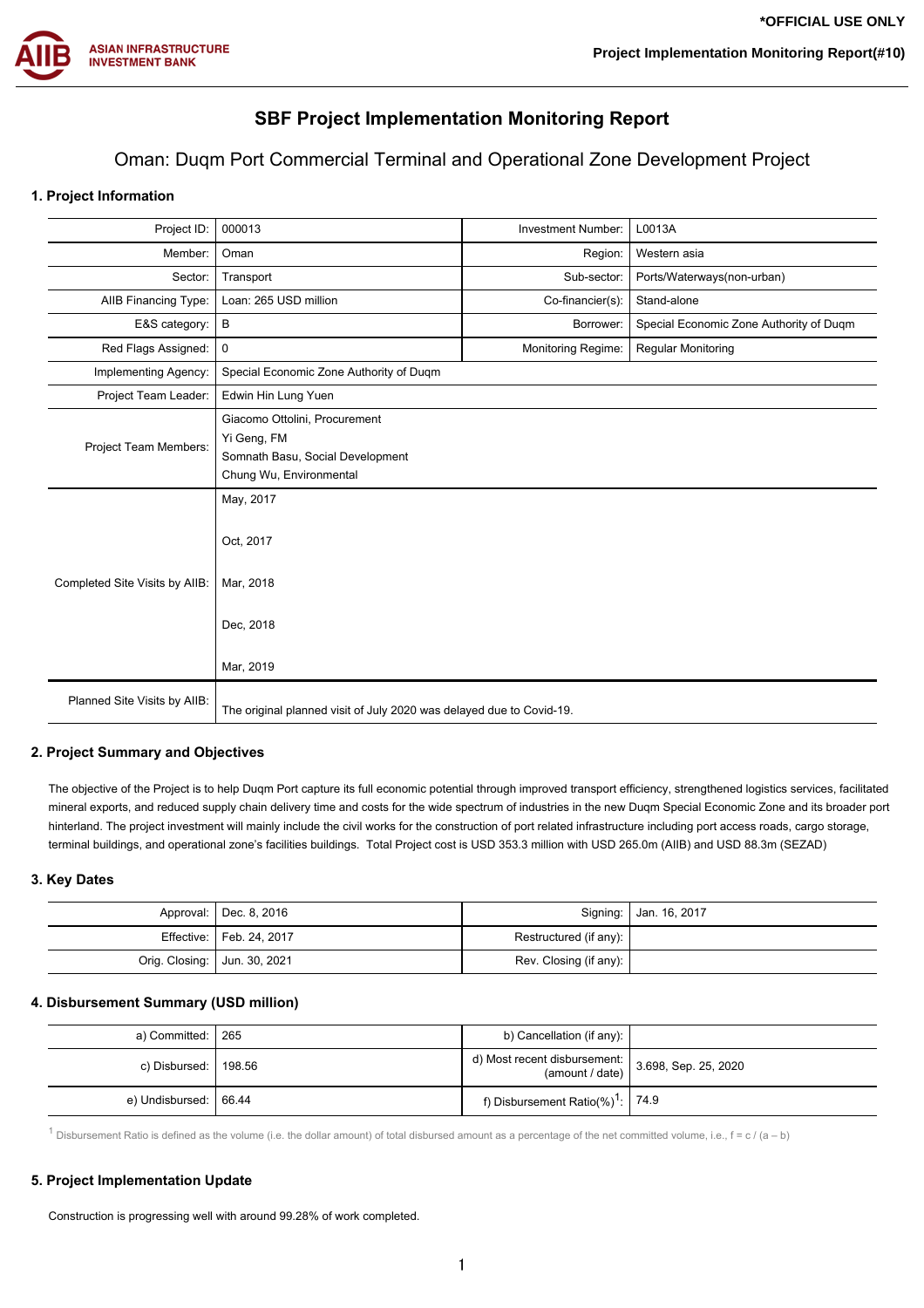

# **SBF Project Implementation Monitoring Report**

## Oman: Duqm Port Commercial Terminal and Operational Zone Development Project

## **1. Project Information**

| Project ID:                    | 000013<br>L0013A<br><b>Investment Number:</b>                                                               |  |  |  |  |  |
|--------------------------------|-------------------------------------------------------------------------------------------------------------|--|--|--|--|--|
| Member:                        | Oman<br>Region:<br>Western asia                                                                             |  |  |  |  |  |
| Sector:                        | Sub-sector:<br>Ports/Waterways(non-urban)<br>Transport                                                      |  |  |  |  |  |
| AIIB Financing Type:           | Stand-alone<br>Loan: 265 USD million<br>Co-financier(s):                                                    |  |  |  |  |  |
| E&S category:                  | B<br>Special Economic Zone Authority of Duqm<br>Borrower:                                                   |  |  |  |  |  |
| Red Flags Assigned:            | Monitoring Regime:<br>0<br><b>Regular Monitoring</b>                                                        |  |  |  |  |  |
| Implementing Agency:           | Special Economic Zone Authority of Duqm                                                                     |  |  |  |  |  |
| Project Team Leader:           | Edwin Hin Lung Yuen                                                                                         |  |  |  |  |  |
| Project Team Members:          | Giacomo Ottolini, Procurement<br>Yi Geng, FM<br>Somnath Basu, Social Development<br>Chung Wu, Environmental |  |  |  |  |  |
| Completed Site Visits by AIIB: | May, 2017<br>Oct, 2017<br>Mar, 2018<br>Dec, 2018<br>Mar, 2019                                               |  |  |  |  |  |
| Planned Site Visits by AIIB:   | The original planned visit of July 2020 was delayed due to Covid-19.                                        |  |  |  |  |  |

## **2. Project Summary and Objectives**

The objective of the Project is to help Duqm Port capture its full economic potential through improved transport efficiency, strengthened logistics services, facilitated mineral exports, and reduced supply chain delivery time and costs for the wide spectrum of industries in the new Duqm Special Economic Zone and its broader port hinterland. The project investment will mainly include the civil works for the construction of port related infrastructure including port access roads, cargo storage, terminal buildings, and operational zone's facilities buildings. Total Project cost is USD 353.3 million with USD 265.0m (AIIB) and USD 88.3m (SEZAD)

## **3. Key Dates**

| Approval:   Dec. 8, 2016       |                        | Signing:   Jan. 16, 2017 |
|--------------------------------|------------------------|--------------------------|
| Effective:   Feb. 24, 2017     | Restructured (if any): |                          |
| Orig. Closing:   Jun. 30, 2021 | Rev. Closing (if any): |                          |

## **4. Disbursement Summary (USD million)**

| a) Committed: I 265     | b) Cancellation (if any):                                                                |  |
|-------------------------|------------------------------------------------------------------------------------------|--|
| c) Disbursed: 1 198.56  | d) Most recent disbursement: $\begin{pmatrix} 3.698, & sep. 25, & 2020 \\ \end{pmatrix}$ |  |
| e) Undisbursed:   66.44 | f) Disbursement Ratio(%) <sup>1</sup> : 74.9                                             |  |

<sup>1</sup> Disbursement Ratio is defined as the volume (i.e. the dollar amount) of total disbursed amount as a percentage of the net committed volume, i.e.,  $f = c / (a - b)$ 

#### **5. Project Implementation Update**

Construction is progressing well with around 99.28% of work completed.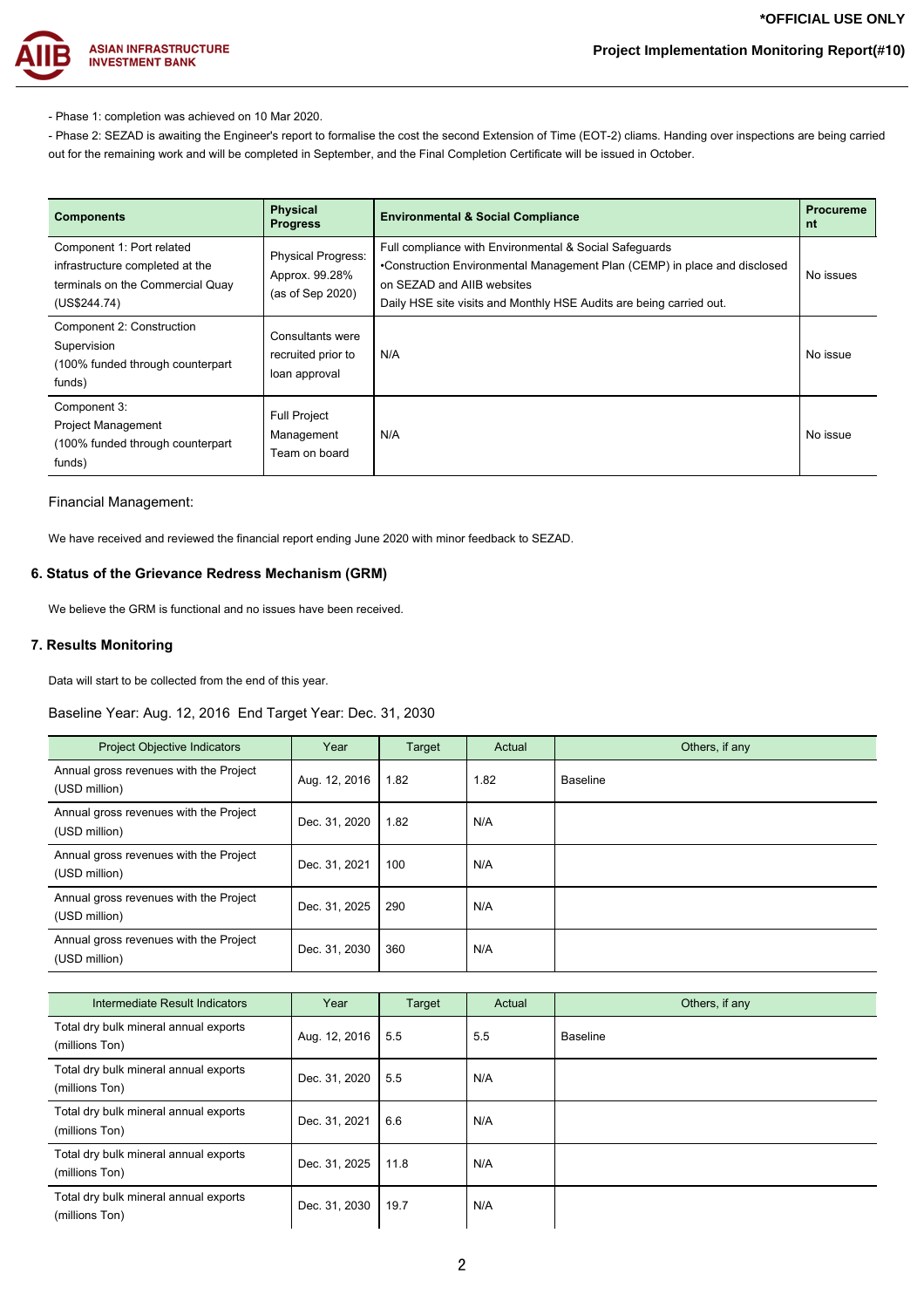

- Phase 1: completion was achieved on 10 Mar 2020.

- Phase 2: SEZAD is awaiting the Engineer's report to formalise the cost the second Extension of Time (EOT-2) cliams. Handing over inspections are being carried out for the remaining work and will be completed in September, and the Final Completion Certificate will be issued in October.

| <b>Components</b>                                                                                                | <b>Physical</b><br><b>Progress</b>                              | <b>Environmental &amp; Social Compliance</b>                                                                                                                                                                                             | <b>Procureme</b><br>nt |
|------------------------------------------------------------------------------------------------------------------|-----------------------------------------------------------------|------------------------------------------------------------------------------------------------------------------------------------------------------------------------------------------------------------------------------------------|------------------------|
| Component 1: Port related<br>infrastructure completed at the<br>terminals on the Commercial Quay<br>(US\$244.74) | <b>Physical Progress:</b><br>Approx. 99.28%<br>(as of Sep 2020) | Full compliance with Environmental & Social Safeguards<br>•Construction Environmental Management Plan (CEMP) in place and disclosed<br>on SEZAD and AIIB websites<br>Daily HSE site visits and Monthly HSE Audits are being carried out. | No issues              |
| Component 2: Construction<br>Supervision<br>(100% funded through counterpart)<br>funds)                          | Consultants were<br>recruited prior to<br>loan approval         | N/A                                                                                                                                                                                                                                      | No issue               |
| Component 3:<br><b>Project Management</b><br>(100% funded through counterpart<br>funds)                          | <b>Full Project</b><br>Management<br>Team on board              | N/A                                                                                                                                                                                                                                      | No issue               |

#### Financial Management:

We have received and reviewed the financial report ending June 2020 with minor feedback to SEZAD.

## **6. Status of the Grievance Redress Mechanism (GRM)**

We believe the GRM is functional and no issues have been received.

## **7. Results Monitoring**

Data will start to be collected from the end of this year.

## Baseline Year: Aug. 12, 2016 End Target Year: Dec. 31, 2030

| <b>Project Objective Indicators</b>                     | Year          | Target | Actual | Others, if any  |
|---------------------------------------------------------|---------------|--------|--------|-----------------|
| Annual gross revenues with the Project<br>(USD million) | Aug. 12, 2016 | 1.82   | 1.82   | <b>Baseline</b> |
| Annual gross revenues with the Project<br>(USD million) | Dec. 31, 2020 | 1.82   | N/A    |                 |
| Annual gross revenues with the Project<br>(USD million) | Dec. 31, 2021 | 100    | N/A    |                 |
| Annual gross revenues with the Project<br>(USD million) | Dec. 31, 2025 | 290    | N/A    |                 |
| Annual gross revenues with the Project<br>(USD million) | Dec. 31, 2030 | 360    | N/A    |                 |

| Intermediate Result Indicators                          | Year          | Target | Actual | Others, if any |
|---------------------------------------------------------|---------------|--------|--------|----------------|
| Total dry bulk mineral annual exports<br>(millions Ton) | Aug. 12, 2016 | 5.5    | 5.5    | Baseline       |
| Total dry bulk mineral annual exports<br>(millions Ton) | Dec. 31, 2020 | 5.5    | N/A    |                |
| Total dry bulk mineral annual exports<br>(millions Ton) | Dec. 31, 2021 | 6.6    | N/A    |                |
| Total dry bulk mineral annual exports<br>(millions Ton) | Dec. 31, 2025 | 11.8   | N/A    |                |
| Total dry bulk mineral annual exports<br>(millions Ton) | Dec. 31, 2030 | 19.7   | N/A    |                |